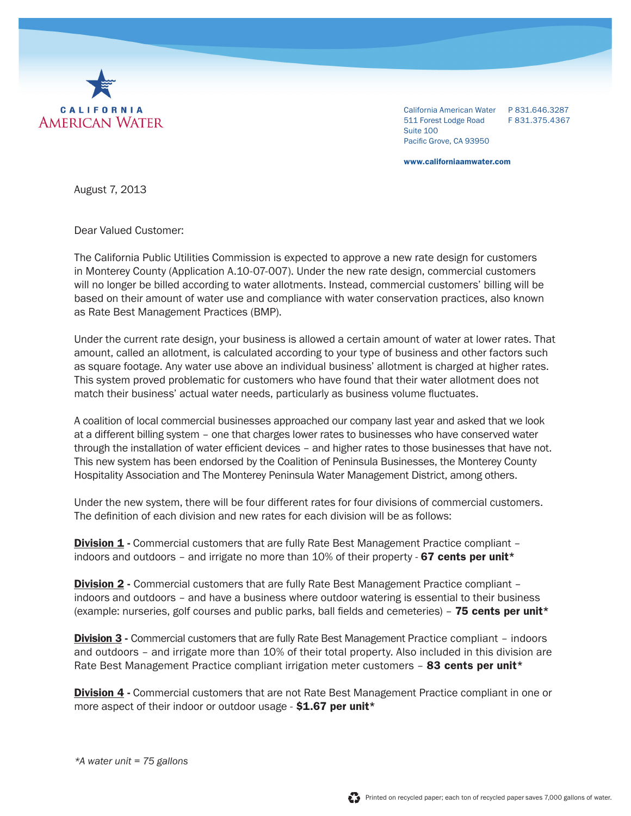

California American Water P 831.646.3287 511 Forest Lodge Road F 831.375.4367 Suite 100 Pacific Grove, CA 93950

www.californiaamwater.com

August 7, 2013

Dear Valued Customer:

The California Public Utilities Commission is expected to approve a new rate design for customers in Monterey County (Application A.10-07-007). Under the new rate design, commercial customers will no longer be billed according to water allotments. Instead, commercial customers' billing will be based on their amount of water use and compliance with water conservation practices, also known as Rate Best Management Practices (BMP).

Under the current rate design, your business is allowed a certain amount of water at lower rates. That amount, called an allotment, is calculated according to your type of business and other factors such as square footage. Any water use above an individual business' allotment is charged at higher rates. This system proved problematic for customers who have found that their water allotment does not match their business' actual water needs, particularly as business volume fluctuates.

A coalition of local commercial businesses approached our company last year and asked that we look at a different billing system – one that charges lower rates to businesses who have conserved water through the installation of water efficient devices – and higher rates to those businesses that have not. This new system has been endorsed by the Coalition of Peninsula Businesses, the Monterey County Hospitality Association and The Monterey Peninsula Water Management District, among others.

Under the new system, there will be four different rates for four divisions of commercial customers. The definition of each division and new rates for each division will be as follows:

**Division 1** - Commercial customers that are fully Rate Best Management Practice compliant – indoors and outdoors – and irrigate no more than  $10\%$  of their property - 67 cents per unit<sup>\*</sup>

**Division 2** - Commercial customers that are fully Rate Best Management Practice compliant – indoors and outdoors – and have a business where outdoor watering is essential to their business (example: nurseries, golf courses and public parks, ball fields and cemeteries) - 75 cents per unit<sup>\*</sup>

**Division 3 - Commercial customers that are fully Rate Best Management Practice compliant – indoors** and outdoors – and irrigate more than 10% of their total property. Also included in this division are Rate Best Management Practice compliant irrigation meter customers - 83 cents per unit\*

**Division 4 - Commercial customers that are not Rate Best Management Practice compliant in one or** more aspect of their indoor or outdoor usage  $-$  \$1.67 per unit\*